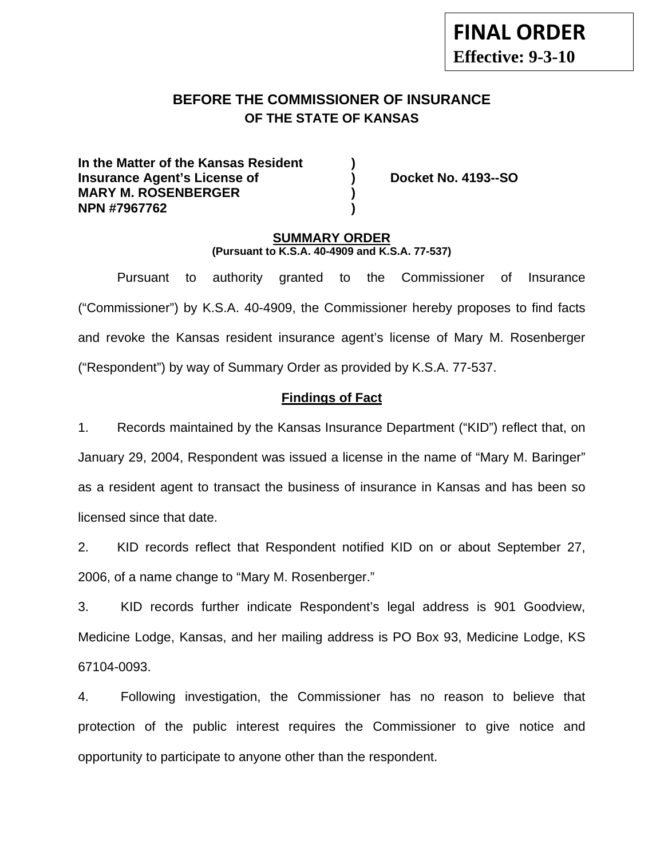# **BEFORE THE COMMISSIONER OF INSURANCE OF THE STATE OF KANSAS**

**In the Matter of the Kansas Resident ) Insurance Agent's License of ) Docket No. 4193--SO MARY M. ROSENBERGER ) NPN #7967762 )** 

#### **SUMMARY ORDER (Pursuant to K.S.A. 40-4909 and K.S.A. 77-537)**

 Pursuant to authority granted to the Commissioner of Insurance ("Commissioner") by K.S.A. 40-4909, the Commissioner hereby proposes to find facts and revoke the Kansas resident insurance agent's license of Mary M. Rosenberger ("Respondent") by way of Summary Order as provided by K.S.A. 77-537.

### **Findings of Fact**

1. Records maintained by the Kansas Insurance Department ("KID") reflect that, on January 29, 2004, Respondent was issued a license in the name of "Mary M. Baringer" as a resident agent to transact the business of insurance in Kansas and has been so licensed since that date.

2. KID records reflect that Respondent notified KID on or about September 27, 2006, of a name change to "Mary M. Rosenberger."

3. KID records further indicate Respondent's legal address is 901 Goodview, Medicine Lodge, Kansas, and her mailing address is PO Box 93, Medicine Lodge, KS 67104-0093.

4. Following investigation, the Commissioner has no reason to believe that protection of the public interest requires the Commissioner to give notice and opportunity to participate to anyone other than the respondent.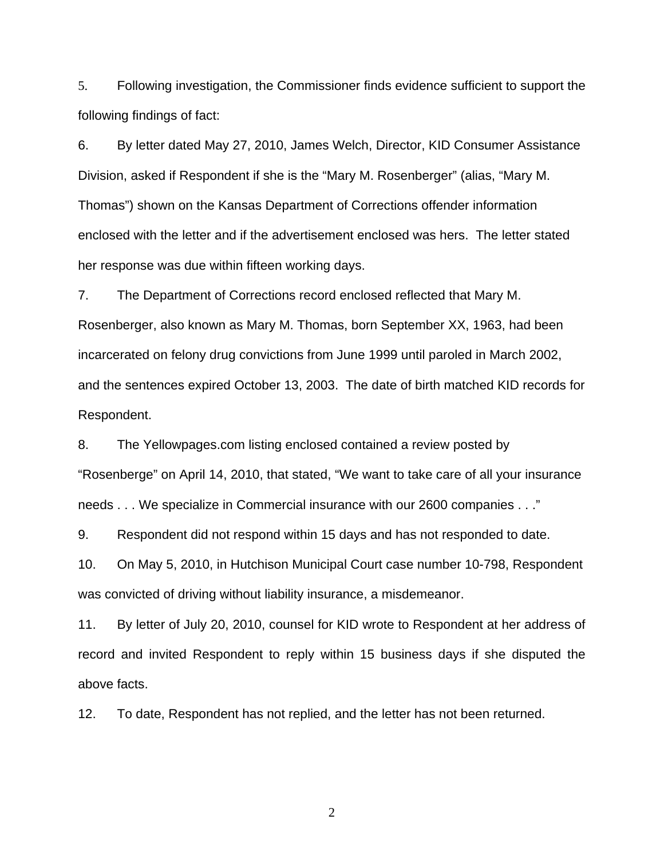5. Following investigation, the Commissioner finds evidence sufficient to support the following findings of fact:

6. By letter dated May 27, 2010, James Welch, Director, KID Consumer Assistance Division, asked if Respondent if she is the "Mary M. Rosenberger" (alias, "Mary M. Thomas") shown on the Kansas Department of Corrections offender information enclosed with the letter and if the advertisement enclosed was hers. The letter stated her response was due within fifteen working days.

7. The Department of Corrections record enclosed reflected that Mary M. Rosenberger, also known as Mary M. Thomas, born September XX, 1963, had been incarcerated on felony drug convictions from June 1999 until paroled in March 2002, and the sentences expired October 13, 2003. The date of birth matched KID records for Respondent.

8. The Yellowpages.com listing enclosed contained a review posted by "Rosenberge" on April 14, 2010, that stated, "We want to take care of all your insurance needs . . . We specialize in Commercial insurance with our 2600 companies . . ."

9. Respondent did not respond within 15 days and has not responded to date.

10. On May 5, 2010, in Hutchison Municipal Court case number 10-798, Respondent was convicted of driving without liability insurance, a misdemeanor.

11. By letter of July 20, 2010, counsel for KID wrote to Respondent at her address of record and invited Respondent to reply within 15 business days if she disputed the above facts.

12. To date, Respondent has not replied, and the letter has not been returned.

2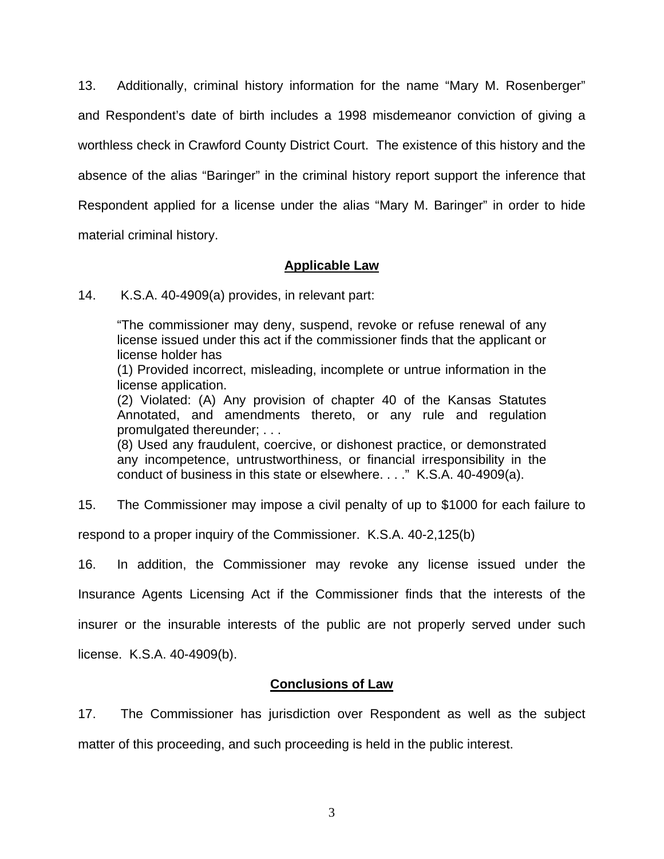13. Additionally, criminal history information for the name "Mary M. Rosenberger" and Respondent's date of birth includes a 1998 misdemeanor conviction of giving a worthless check in Crawford County District Court. The existence of this history and the absence of the alias "Baringer" in the criminal history report support the inference that Respondent applied for a license under the alias "Mary M. Baringer" in order to hide material criminal history.

#### **Applicable Law**

14. K.S.A. 40-4909(a) provides, in relevant part:

"The commissioner may deny, suspend, revoke or refuse renewal of any license issued under this act if the commissioner finds that the applicant or license holder has

(1) Provided incorrect, misleading, incomplete or untrue information in the license application.

(2) Violated: (A) Any provision of chapter 40 of the Kansas Statutes Annotated, and amendments thereto, or any rule and regulation promulgated thereunder; . . .

(8) Used any fraudulent, coercive, or dishonest practice, or demonstrated any incompetence, untrustworthiness, or financial irresponsibility in the conduct of business in this state or elsewhere. . . ." K.S.A. 40-4909(a).

15. The Commissioner may impose a civil penalty of up to \$1000 for each failure to

respond to a proper inquiry of the Commissioner. K.S.A. 40-2,125(b)

16. In addition, the Commissioner may revoke any license issued under the Insurance Agents Licensing Act if the Commissioner finds that the interests of the insurer or the insurable interests of the public are not properly served under such license. K.S.A. 40-4909(b).

#### **Conclusions of Law**

17. The Commissioner has jurisdiction over Respondent as well as the subject matter of this proceeding, and such proceeding is held in the public interest.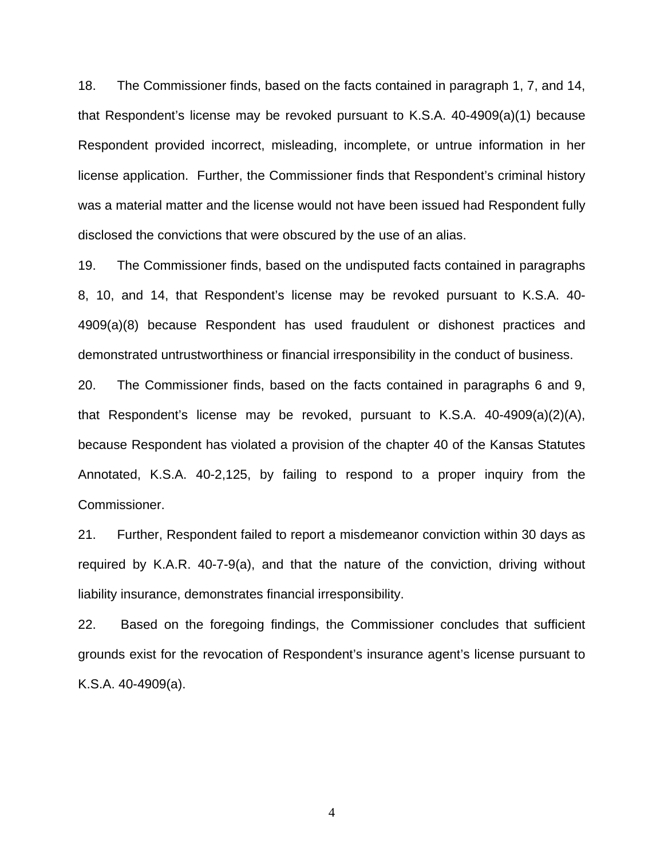18. The Commissioner finds, based on the facts contained in paragraph 1, 7, and 14, that Respondent's license may be revoked pursuant to K.S.A. 40-4909(a)(1) because Respondent provided incorrect, misleading, incomplete, or untrue information in her license application. Further, the Commissioner finds that Respondent's criminal history was a material matter and the license would not have been issued had Respondent fully disclosed the convictions that were obscured by the use of an alias.

19. The Commissioner finds, based on the undisputed facts contained in paragraphs 8, 10, and 14, that Respondent's license may be revoked pursuant to K.S.A. 40- 4909(a)(8) because Respondent has used fraudulent or dishonest practices and demonstrated untrustworthiness or financial irresponsibility in the conduct of business.

20. The Commissioner finds, based on the facts contained in paragraphs 6 and 9, that Respondent's license may be revoked, pursuant to K.S.A. 40-4909(a)(2)(A), because Respondent has violated a provision of the chapter 40 of the Kansas Statutes Annotated, K.S.A. 40-2,125, by failing to respond to a proper inquiry from the Commissioner.

21. Further, Respondent failed to report a misdemeanor conviction within 30 days as required by K.A.R. 40-7-9(a), and that the nature of the conviction, driving without liability insurance, demonstrates financial irresponsibility.

22. Based on the foregoing findings, the Commissioner concludes that sufficient grounds exist for the revocation of Respondent's insurance agent's license pursuant to K.S.A. 40-4909(a).

4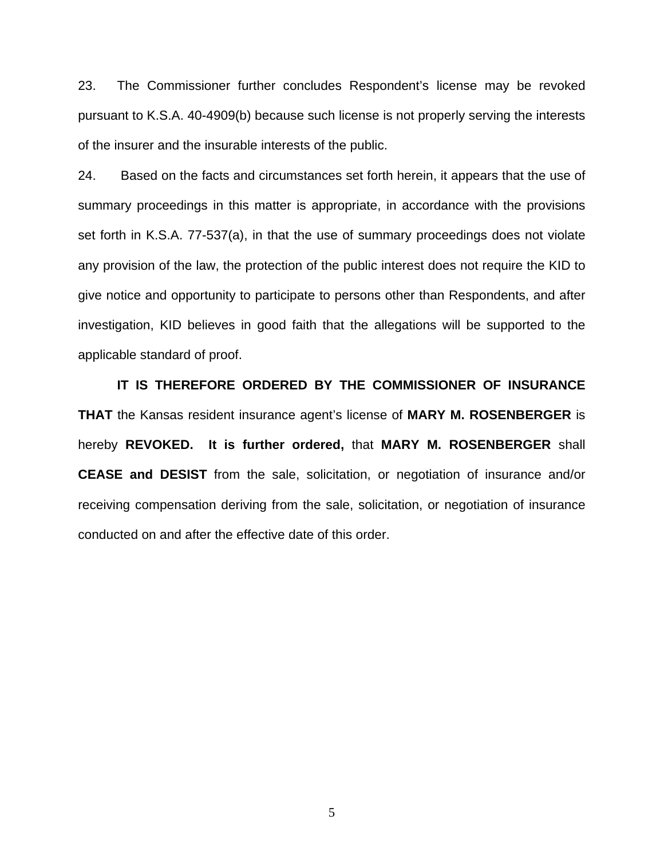23. The Commissioner further concludes Respondent's license may be revoked pursuant to K.S.A. 40-4909(b) because such license is not properly serving the interests of the insurer and the insurable interests of the public.

24. Based on the facts and circumstances set forth herein, it appears that the use of summary proceedings in this matter is appropriate, in accordance with the provisions set forth in K.S.A. 77-537(a), in that the use of summary proceedings does not violate any provision of the law, the protection of the public interest does not require the KID to give notice and opportunity to participate to persons other than Respondents, and after investigation, KID believes in good faith that the allegations will be supported to the applicable standard of proof.

 **IT IS THEREFORE ORDERED BY THE COMMISSIONER OF INSURANCE THAT** the Kansas resident insurance agent's license of **MARY M. ROSENBERGER** is hereby **REVOKED. It is further ordered,** that **MARY M. ROSENBERGER** shall **CEASE and DESIST** from the sale, solicitation, or negotiation of insurance and/or receiving compensation deriving from the sale, solicitation, or negotiation of insurance conducted on and after the effective date of this order.

5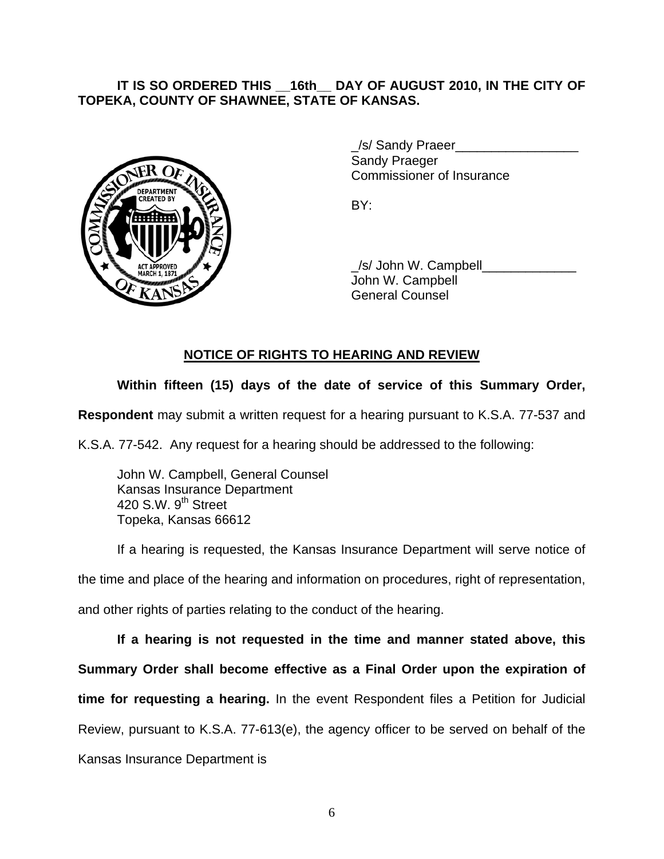### **IT IS SO ORDERED THIS \_\_16th\_\_ DAY OF AUGUST 2010, IN THE CITY OF TOPEKA, COUNTY OF SHAWNEE, STATE OF KANSAS.**



/s/ Sandy Praeer Sandy Praeger Commissioner of Insurance

 \_/s/ John W. Campbell\_\_\_\_\_\_\_\_\_\_\_\_\_ John W. Campbell General Counsel

## **NOTICE OF RIGHTS TO HEARING AND REVIEW**

## **Within fifteen (15) days of the date of service of this Summary Order,**

**Respondent** may submit a written request for a hearing pursuant to K.S.A. 77-537 and

K.S.A. 77-542. Any request for a hearing should be addressed to the following:

 John W. Campbell, General Counsel Kansas Insurance Department 420 S.W. 9<sup>th</sup> Street Topeka, Kansas 66612

If a hearing is requested, the Kansas Insurance Department will serve notice of the time and place of the hearing and information on procedures, right of representation, and other rights of parties relating to the conduct of the hearing.

**If a hearing is not requested in the time and manner stated above, this Summary Order shall become effective as a Final Order upon the expiration of time for requesting a hearing.** In the event Respondent files a Petition for Judicial Review, pursuant to K.S.A. 77-613(e), the agency officer to be served on behalf of the Kansas Insurance Department is